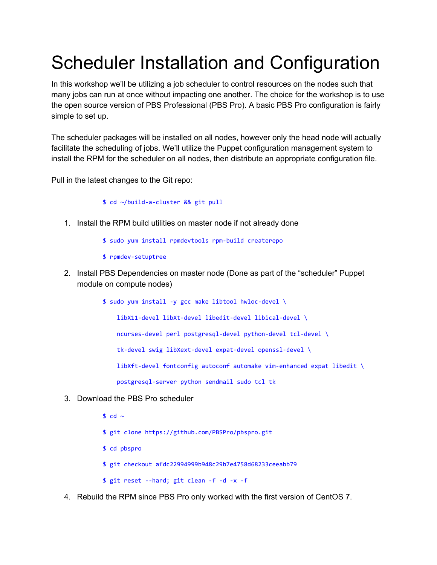## Scheduler Installation and Configuration

In this workshop we'll be utilizing a job scheduler to control resources on the nodes such that many jobs can run at once without impacting one another. The choice for the workshop is to use the open source version of PBS Professional (PBS Pro). A basic PBS Pro configuration is fairly simple to set up.

The scheduler packages will be installed on all nodes, however only the head node will actually facilitate the scheduling of jobs. We'll utilize the Puppet configuration management system to install the RPM for the scheduler on all nodes, then distribute an appropriate configuration file.

Pull in the latest changes to the Git repo:

## \$ cd ~/build-a-cluster && git pull

1. Install the RPM build utilities on master node if not already done

\$ sudo yum install rpmdevtools rpm-build createrepo

- \$ rpmdev-setuptree
- 2. Install PBS Dependencies on master node (Done as part of the "scheduler" Puppet module on compute nodes)

\$ sudo yum install -y gcc make libtool hwloc-devel \ libX11-devel libXt-devel libedit-devel libical-devel \

ncurses-devel perl postgresql-devel python-devel tcl-devel \

tk-devel swig libXext-devel expat-devel openssl-devel \

libXft-devel fontconfig autoconf automake vim-enhanced expat libedit \

postgresql-server python sendmail sudo tcl tk

- 3. Download the PBS Pro scheduler
	- \$ cd  $\sim$ \$ git clone<https://github.com/PBSPro/pbspro.git> \$ cd pbspro \$ git checkout afdc22994999b948c29b7e4758d68233ceeabb79 \$ git reset --hard; git clean -f -d -x -f
- 4. Rebuild the RPM since PBS Pro only worked with the first version of CentOS 7.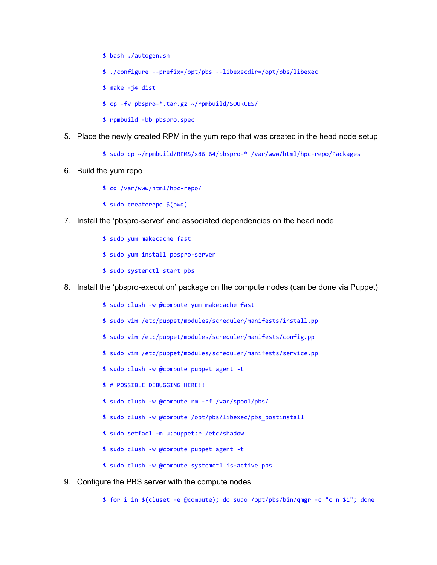- \$ bash ./autogen.sh \$ ./configure --prefix=/opt/pbs --libexecdir=/opt/pbs/libexec  $$ make -i4 dist$ \$ cp -fv pbspro-\*.tar.gz ~/rpmbuild/SOURCES/ \$ rpmbuild -bb pbspro.spec
- 5. Place the newly created RPM in the yum repo that was created in the head node setup
	- \$ sudo cp ~/rpmbuild/RPMS/x86\_64/pbspro-\* /var/www/html/hpc-repo/Packages
- 6. Build the yum repo
	- \$ cd /var/www/html/hpc-repo/
	- \$ sudo createrepo \$(pwd)
- 7. Install the 'pbspro-server' and associated dependencies on the head node
	- \$ sudo yum makecache fast
	- \$ sudo yum install pbspro-server
	- \$ sudo systemctl start pbs
- 8. Install the 'pbspro-execution' package on the compute nodes (can be done via Puppet)
	- \$ sudo clush -w @compute yum makecache fast
	- \$ sudo vim /etc/puppet/modules/scheduler/manifests/install.pp
	- \$ sudo vim /etc/puppet/modules/scheduler/manifests/config.pp
	- \$ sudo vim /etc/puppet/modules/scheduler/manifests/service.pp
	- \$ sudo clush -w @compute puppet agent -t
	- \$ # POSSIBLE DEBUGGING HERE!!
	- \$ sudo clush -w @compute rm -rf /var/spool/pbs/
	- \$ sudo clush -w @compute /opt/pbs/libexec/pbs\_postinstall
	- \$ sudo setfacl -m u:puppet:r /etc/shadow
	- \$ sudo clush -w @compute puppet agent -t
	- \$ sudo clush -w @compute systemctl is-active pbs
- 9. Configure the PBS server with the compute nodes

\$ for i in \$(cluset -e @compute); do sudo /opt/pbs/bin/qmgr -c "c n \$i"; done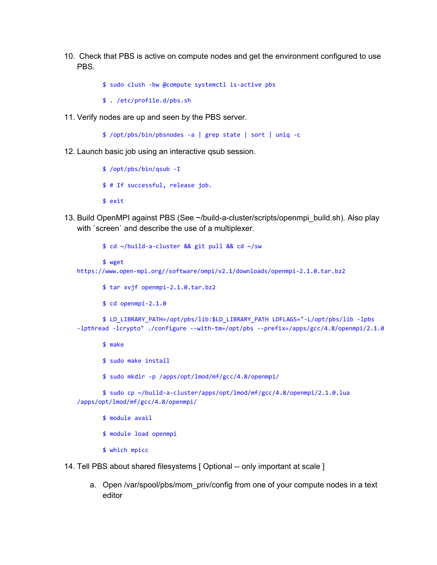10. Check that PBS is active on compute nodes and get the environment configured to use PBS.

\$ sudo clush -bw @compute systemctl is-active pbs

- \$ . /etc/profile.d/pbs.sh
- 11. Verify nodes are up and seen by the PBS server.

\$ /opt/pbs/bin/pbsnodes -a | grep state | sort | uniq -c

12. Launch basic job using an interactive qsub session.

```
$ /opt/pbs/bin/qsub -I
$ # If successful, release job.
$ exit
```
13. Build OpenMPI against PBS (See ~/build-a-cluster/scripts/openmpi\_build.sh). Also play with `screen` and describe the use of a multiplexer.

```
$ cd ~/build-a-cluster && git pull && cd ~/sw
       $ wget
https://www.open-mpi.org//software/ompi/v2.1/downloads/openmpi-2.1.0.tar.bz2
```
- \$ tar xvjf openmpi-2.1.0.tar.bz2
- \$ cd openmpi-2.1.0

\$ LD\_LIBRARY\_PATH=/opt/pbs/lib:\$LD\_LIBRARY\_PATH LDFLAGS="-L/opt/pbs/lib -lpbs -lpthread -lcrypto" ./configure --with-tm=/opt/pbs --prefix=/apps/gcc/4.8/openmpi/2.1.0

\$ make

- \$ sudo make install
- \$ sudo mkdir -p /apps/opt/lmod/mf/gcc/4.8/openmpi/

\$ sudo cp ~/build-a-cluster/apps/opt/lmod/mf/gcc/4.8/openmpi/2.1.0.lua /apps/opt/lmod/mf/gcc/4.8/openmpi/

- \$ module avail
- \$ module load openmpi
- \$ which mpicc
- 14. Tell PBS about shared filesystems [ Optional -- only important at scale ]
	- a. Open /var/spool/pbs/mom\_priv/config from one of your compute nodes in a text editor